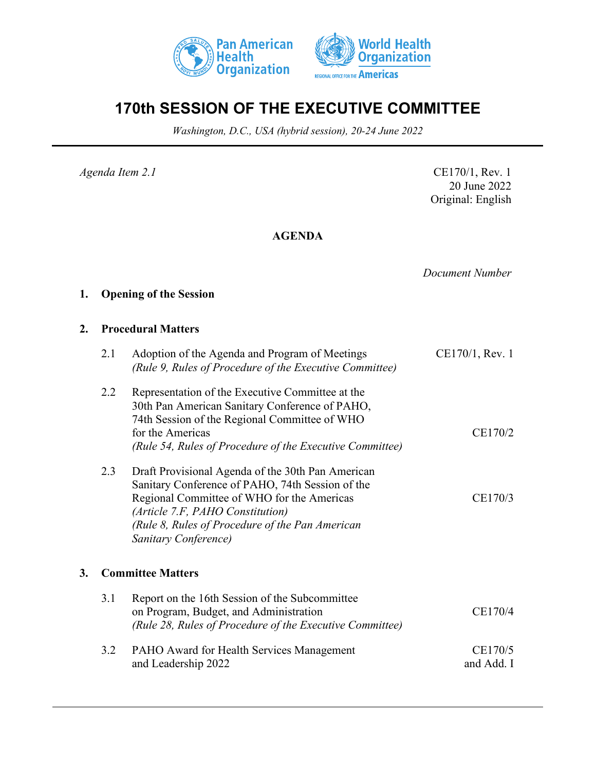



# **170th SESSION OF THE EXECUTIVE COMMITTEE**

*Washington, D.C., USA (hybrid session), 20-24 June 2022*

*Agenda Item 2.1* CE170/1, Rev. 1 20 June 2022 Original: English

# **AGENDA**

*Document Number*

# **1. Opening of the Session**

### **2. Procedural Matters**

|    | 2.1 | Adoption of the Agenda and Program of Meetings<br>(Rule 9, Rules of Procedure of the Executive Committee)                                                                                                                                                          | CE170/1, Rev. 1       |
|----|-----|--------------------------------------------------------------------------------------------------------------------------------------------------------------------------------------------------------------------------------------------------------------------|-----------------------|
|    | 2.2 | Representation of the Executive Committee at the<br>30th Pan American Sanitary Conference of PAHO,<br>74th Session of the Regional Committee of WHO<br>for the Americas<br>(Rule 54, Rules of Procedure of the Executive Committee)                                | CE170/2               |
|    | 2.3 | Draft Provisional Agenda of the 30th Pan American<br>Sanitary Conference of PAHO, 74th Session of the<br>Regional Committee of WHO for the Americas<br>(Article 7.F, PAHO Constitution)<br>(Rule 8, Rules of Procedure of the Pan American<br>Sanitary Conference) | CE170/3               |
| 3. |     | <b>Committee Matters</b>                                                                                                                                                                                                                                           |                       |
|    | 3.1 | Report on the 16th Session of the Subcommittee<br>on Program, Budget, and Administration<br>(Rule 28, Rules of Procedure of the Executive Committee)                                                                                                               | CE170/4               |
|    | 3.2 | PAHO Award for Health Services Management<br>and Leadership 2022                                                                                                                                                                                                   | CE170/5<br>and Add. I |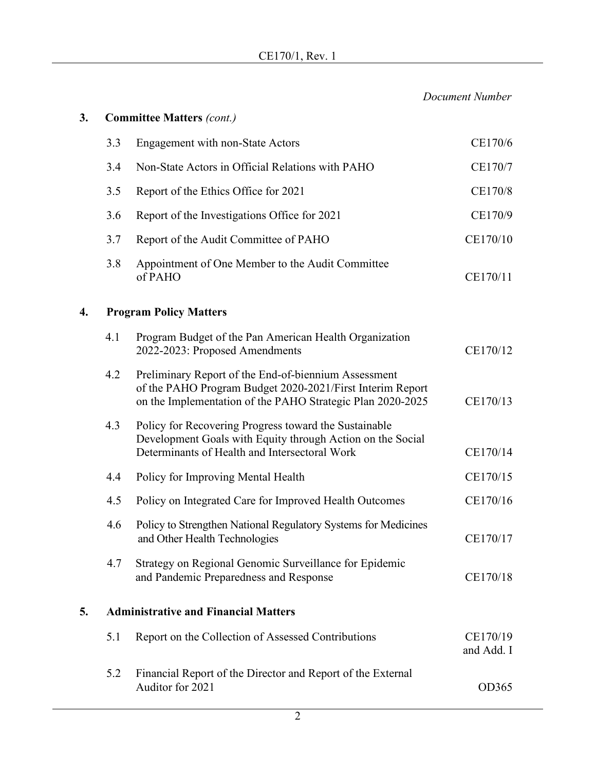*Document Number*

| 3. |                                             | <b>Committee Matters (cont.)</b>                                                                                                                                                |                        |  |
|----|---------------------------------------------|---------------------------------------------------------------------------------------------------------------------------------------------------------------------------------|------------------------|--|
|    | 3.3                                         | <b>Engagement with non-State Actors</b>                                                                                                                                         | CE170/6                |  |
|    | 3.4                                         | Non-State Actors in Official Relations with PAHO                                                                                                                                | CE170/7                |  |
|    | 3.5                                         | Report of the Ethics Office for 2021                                                                                                                                            | CE170/8                |  |
|    | 3.6                                         | Report of the Investigations Office for 2021                                                                                                                                    | CE170/9                |  |
|    | 3.7                                         | Report of the Audit Committee of PAHO                                                                                                                                           | CE170/10               |  |
|    | 3.8                                         | Appointment of One Member to the Audit Committee<br>of PAHO                                                                                                                     | CE170/11               |  |
| 4. | <b>Program Policy Matters</b>               |                                                                                                                                                                                 |                        |  |
|    | 4.1                                         | Program Budget of the Pan American Health Organization<br>2022-2023: Proposed Amendments                                                                                        | CE170/12               |  |
|    | 4.2                                         | Preliminary Report of the End-of-biennium Assessment<br>of the PAHO Program Budget 2020-2021/First Interim Report<br>on the Implementation of the PAHO Strategic Plan 2020-2025 | CE170/13               |  |
|    | 4.3                                         | Policy for Recovering Progress toward the Sustainable<br>Development Goals with Equity through Action on the Social<br>Determinants of Health and Intersectoral Work            | CE170/14               |  |
|    | 4.4                                         | Policy for Improving Mental Health                                                                                                                                              | CE170/15               |  |
|    | 4.5                                         | Policy on Integrated Care for Improved Health Outcomes                                                                                                                          | CE170/16               |  |
|    | 4.6                                         | Policy to Strengthen National Regulatory Systems for Medicines<br>and Other Health Technologies                                                                                 | CE170/17               |  |
|    | 4.7                                         | Strategy on Regional Genomic Surveillance for Epidemic<br>and Pandemic Preparedness and Response                                                                                | CE170/18               |  |
| 5. | <b>Administrative and Financial Matters</b> |                                                                                                                                                                                 |                        |  |
|    | 5.1                                         | Report on the Collection of Assessed Contributions                                                                                                                              | CE170/19<br>and Add. I |  |
|    | 5.2                                         | Financial Report of the Director and Report of the External<br>Auditor for 2021                                                                                                 | OD365                  |  |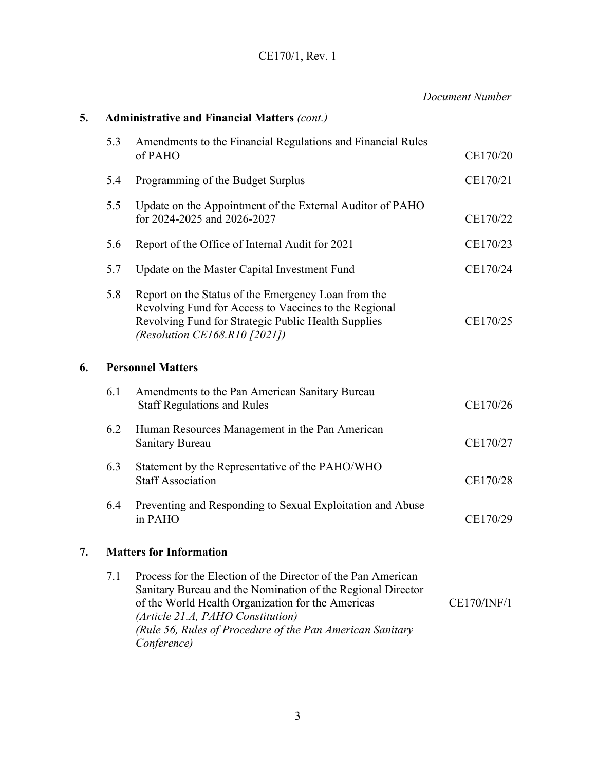|    |     |                                                                                                                                                                                                                                                                                                   | Document Number    |
|----|-----|---------------------------------------------------------------------------------------------------------------------------------------------------------------------------------------------------------------------------------------------------------------------------------------------------|--------------------|
| 5. |     | <b>Administrative and Financial Matters (cont.)</b>                                                                                                                                                                                                                                               |                    |
|    | 5.3 | Amendments to the Financial Regulations and Financial Rules<br>of PAHO                                                                                                                                                                                                                            | CE170/20           |
|    | 5.4 | Programming of the Budget Surplus                                                                                                                                                                                                                                                                 | CE170/21           |
|    | 5.5 | Update on the Appointment of the External Auditor of PAHO<br>for 2024-2025 and 2026-2027                                                                                                                                                                                                          | CE170/22           |
|    | 5.6 | Report of the Office of Internal Audit for 2021                                                                                                                                                                                                                                                   | CE170/23           |
|    | 5.7 | Update on the Master Capital Investment Fund                                                                                                                                                                                                                                                      | CE170/24           |
|    | 5.8 | Report on the Status of the Emergency Loan from the<br>Revolving Fund for Access to Vaccines to the Regional<br>Revolving Fund for Strategic Public Health Supplies<br>(Resolution CE168.R10 [2021])                                                                                              | CE170/25           |
| 6. |     | <b>Personnel Matters</b>                                                                                                                                                                                                                                                                          |                    |
|    | 6.1 | Amendments to the Pan American Sanitary Bureau<br><b>Staff Regulations and Rules</b>                                                                                                                                                                                                              | CE170/26           |
|    | 6.2 | Human Resources Management in the Pan American<br>Sanitary Bureau                                                                                                                                                                                                                                 | CE170/27           |
|    | 6.3 | Statement by the Representative of the PAHO/WHO<br><b>Staff Association</b>                                                                                                                                                                                                                       | CE170/28           |
|    | 6.4 | Preventing and Responding to Sexual Exploitation and Abuse<br>in PAHO                                                                                                                                                                                                                             | CE170/29           |
| 7. |     | <b>Matters for Information</b>                                                                                                                                                                                                                                                                    |                    |
|    | 7.1 | Process for the Election of the Director of the Pan American<br>Sanitary Bureau and the Nomination of the Regional Director<br>of the World Health Organization for the Americas<br>(Article 21.A, PAHO Constitution)<br>(Rule 56, Rules of Procedure of the Pan American Sanitary<br>Conference) | <b>CE170/INF/1</b> |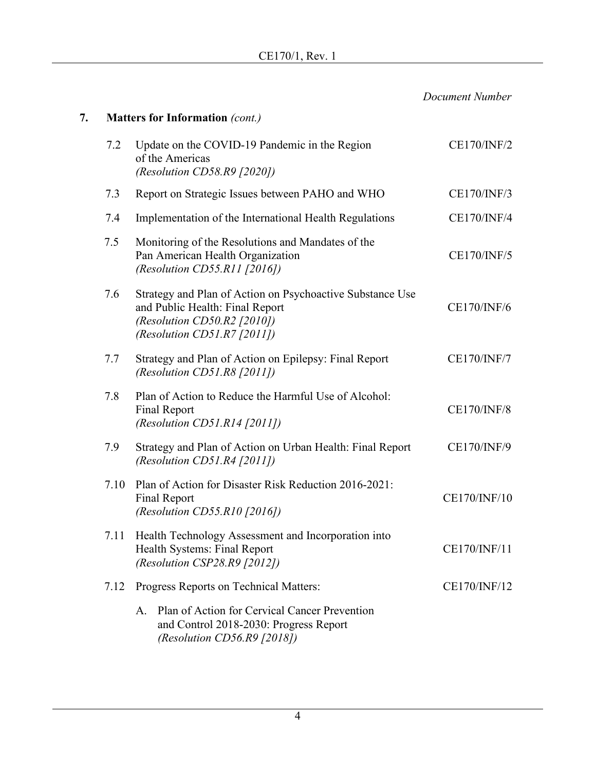|    |      |                                                                                                                                                            | Document Number    |
|----|------|------------------------------------------------------------------------------------------------------------------------------------------------------------|--------------------|
| 7. |      | <b>Matters for Information (cont.)</b>                                                                                                                     |                    |
|    | 7.2  | Update on the COVID-19 Pandemic in the Region<br>of the Americas<br>(Resolution CD58.R9 [2020])                                                            | <b>CE170/INF/2</b> |
|    | 7.3  | Report on Strategic Issues between PAHO and WHO                                                                                                            | CE170/INF/3        |
|    | 7.4  | Implementation of the International Health Regulations                                                                                                     | <b>CE170/INF/4</b> |
|    | 7.5  | Monitoring of the Resolutions and Mandates of the<br>Pan American Health Organization<br>(Resolution CD55.R11 [2016])                                      | <b>CE170/INF/5</b> |
|    | 7.6  | Strategy and Plan of Action on Psychoactive Substance Use<br>and Public Health: Final Report<br>(Resolution CD50.R2 [2010])<br>(Resolution CD51.R7 [2011]) | <b>CE170/INF/6</b> |
|    | 7.7  | Strategy and Plan of Action on Epilepsy: Final Report<br>(Resolution CD51.R8 $[2011]$ )                                                                    | <b>CE170/INF/7</b> |
|    | 7.8  | Plan of Action to Reduce the Harmful Use of Alcohol:<br><b>Final Report</b><br>(Resolution CD51.R14 [2011])                                                | <b>CE170/INF/8</b> |
|    | 7.9  | Strategy and Plan of Action on Urban Health: Final Report<br>(Resolution CD51.R4 [2011])                                                                   | <b>CE170/INF/9</b> |
|    | 7.10 | Plan of Action for Disaster Risk Reduction 2016-2021:<br><b>Final Report</b><br>(Resolution CD55.R10 [2016])                                               | CE170/INF/10       |
|    | 7.11 | Health Technology Assessment and Incorporation into<br>Health Systems: Final Report<br>(Resolution CSP28.R9 [2012])                                        | CE170/INF/11       |
|    | 7.12 | Progress Reports on Technical Matters:                                                                                                                     | CE170/INF/12       |
|    |      | Plan of Action for Cervical Cancer Prevention<br>A.<br>and Control 2018-2030: Progress Report<br>(Resolution CD56.R9 $[2018]$ )                            |                    |